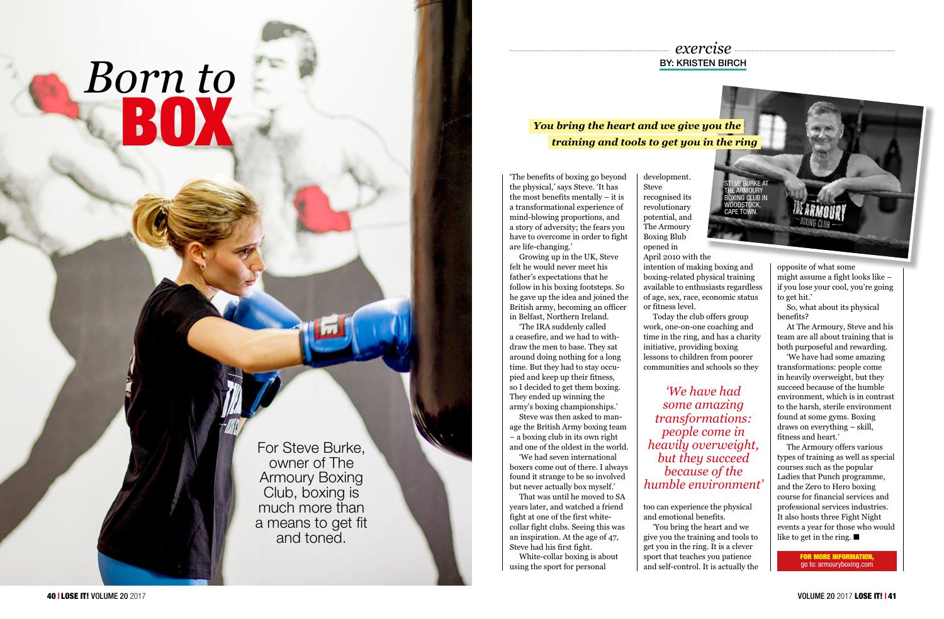For Steve Burke, owner of The Armoury Boxing Club, boxing is much more than a means to get fit and toned.

## *Born to* BOX

## *exercise* BY: KRISTEN BIRCH

'The benefits of boxing go beyond the physical,' says Steve. 'It has the most benefits mentally – it is a transformational experience of mind-blowing proportions, and a story of adversity; the fears you have to overcome in order to fight are life-changing.'

Growing up in the UK, Steve felt he would never meet his father's expectations that he follow in his boxing footsteps. So he gave up the idea and joined the British army, becoming an officer in Belfast, Northern Ireland.

'The IRA suddenly called a ceasefire, and we had to with draw the men to base. They sat around doing nothing for a long time. But they had to stay occu pied and keep up their fitness, so I decided to get them boxing. They ended up winning the army's boxing championships.'

> The Armoury offers various types of training as well as special courses such as the popular Ladies that Punch programme, and the Zero to Hero boxing course for financial services and professional services industries. It also hosts three Fight Night events a year for those who would like to get in the ring.  $\blacksquare$

Steve was then asked to man age the British Army boxing team – a boxing club in its own right and one of the oldest in the world.

'We had seven international boxers come out of there. I always found it strange to be so involved but never actually box myself.'

That was until he moved to SA years later, and watched a friend fight at one of the first whitecollar fight clubs. Seeing this was an inspiration. At the age of 47, Steve had his first fight.

White-collar boxing is about using the sport for personal

opposite of what some might assume a fight looks like – if you lose your cool, you're going to get hit.'

So, what about its physical benefits?

At The Armoury, Steve and his team are all about training that is both purposeful and rewarding.

'We have had some amazing transformations: people come in heavily overweight, but they succeed because of the humble environment, which is in contrast to the harsh, sterile environment found at some gyms. Boxing draws on everything – skill, fitness and heart.'

intention of making boxing and boxing-related physical training available to enthusiasts regardless of age, sex, race, economic status or fitness level.

Today the club offers group work, one-on-one coaching and time in the ring, and has a charity initiative, providing boxing lessons to children from poorer communities and schools so they



too can experience the physical and emotional benefits.

'You bring the heart and we give you the training and tools to get you in the ring. It is a clever sport that teaches you patience and self-control. It is actually the

*'We have had some amazing transformations: people come in heavily overweight, but they succeed because of the humble environment'*

> FOR MORE INFORMATION, go to: armouryboxing.com